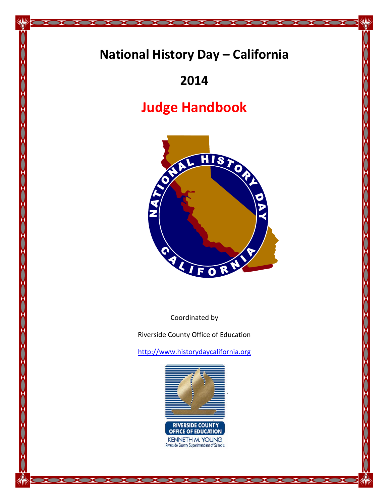# **National History Day – California**

20000000000

 $\sum_{i=1}^{n}$ 

 $\mathbf{C}$ 

 $\mathbf{v}$ 

 $\overline{\mathbf{X}}$ 

## **2014**

# **Judge Handbook**



Coordinated by

Riverside County Office of Education

[http://www.historydaycalifornia.org](http://www.historydaycalifornia.org/)



10000000000000000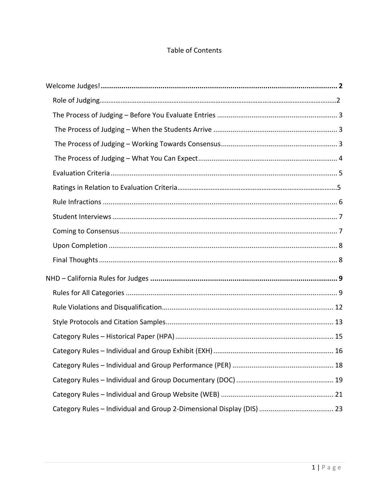## Table of Contents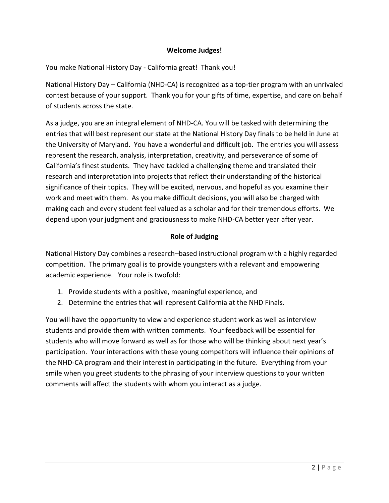## **Welcome Judges!**

<span id="page-2-0"></span>You make National History Day - California great! Thank you!

National History Day – California (NHD-CA) is recognized as a top-tier program with an unrivaled contest because of your support. Thank you for your gifts of time, expertise, and care on behalf of students across the state.

As a judge, you are an integral element of NHD-CA. You will be tasked with determining the entries that will best represent our state at the National History Day finals to be held in June at the University of Maryland. You have a wonderful and difficult job. The entries you will assess represent the research, analysis, interpretation, creativity, and perseverance of some of California's finest students. They have tackled a challenging theme and translated their research and interpretation into projects that reflect their understanding of the historical significance of their topics. They will be excited, nervous, and hopeful as you examine their work and meet with them. As you make difficult decisions, you will also be charged with making each and every student feel valued as a scholar and for their tremendous efforts. We depend upon your judgment and graciousness to make NHD-CA better year after year.

### **Role of Judging**

National History Day combines a research–based instructional program with a highly regarded competition. The primary goal is to provide youngsters with a relevant and empowering academic experience. Your role is twofold:

- 1. Provide students with a positive, meaningful experience, and
- 2. Determine the entries that will represent California at the NHD Finals.

You will have the opportunity to view and experience student work as well as interview students and provide them with written comments. Your feedback will be essential for students who will move forward as well as for those who will be thinking about next year's participation. Your interactions with these young competitors will influence their opinions of the NHD-CA program and their interest in participating in the future. Everything from your smile when you greet students to the phrasing of your interview questions to your written comments will affect the students with whom you interact as a judge.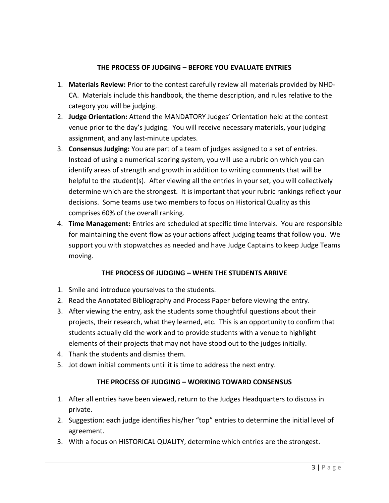## **THE PROCESS OF JUDGING – BEFORE YOU EVALUATE ENTRIES**

- <span id="page-3-0"></span>1. **Materials Review:** Prior to the contest carefully review all materials provided by NHD-CA. Materials include this handbook, the theme description, and rules relative to the category you will be judging.
- 2. **Judge Orientation:** Attend the MANDATORY Judges' Orientation held at the contest venue prior to the day's judging. You will receive necessary materials, your judging assignment, and any last-minute updates.
- 3. **Consensus Judging:** You are part of a team of judges assigned to a set of entries. Instead of using a numerical scoring system, you will use a rubric on which you can identify areas of strength and growth in addition to writing comments that will be helpful to the student(s). After viewing all the entries in your set, you will collectively determine which are the strongest. It is important that your rubric rankings reflect your decisions. Some teams use two members to focus on Historical Quality as this comprises 60% of the overall ranking.
- 4. **Time Management:** Entries are scheduled at specific time intervals. You are responsible for maintaining the event flow as your actions affect judging teams that follow you. We support you with stopwatches as needed and have Judge Captains to keep Judge Teams moving.

## **THE PROCESS OF JUDGING – WHEN THE STUDENTS ARRIVE**

- <span id="page-3-1"></span>1. Smile and introduce yourselves to the students.
- 2. Read the Annotated Bibliography and Process Paper before viewing the entry.
- 3. After viewing the entry, ask the students some thoughtful questions about their projects, their research, what they learned, etc. This is an opportunity to confirm that students actually did the work and to provide students with a venue to highlight elements of their projects that may not have stood out to the judges initially.
- 4. Thank the students and dismiss them.
- <span id="page-3-2"></span>5. Jot down initial comments until it is time to address the next entry.

## **THE PROCESS OF JUDGING – WORKING TOWARD CONSENSUS**

- 1. After all entries have been viewed, return to the Judges Headquarters to discuss in private.
- 2. Suggestion: each judge identifies his/her "top" entries to determine the initial level of agreement.
- 3. With a focus on HISTORICAL QUALITY, determine which entries are the strongest.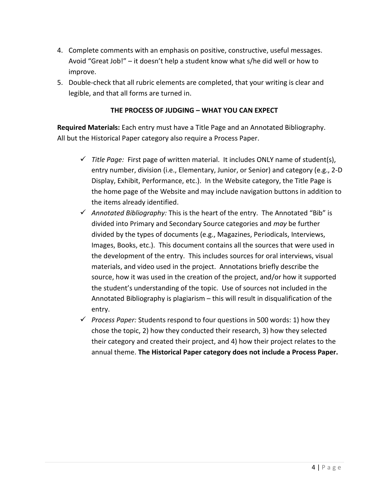- 4. Complete comments with an emphasis on positive, constructive, useful messages. Avoid "Great Job!" – it doesn't help a student know what s/he did well or how to improve.
- 5. Double-check that all rubric elements are completed, that your writing is clear and legible, and that all forms are turned in.

## **THE PROCESS OF JUDGING – WHAT YOU CAN EXPECT**

<span id="page-4-0"></span>**Required Materials:** Each entry must have a Title Page and an Annotated Bibliography. All but the Historical Paper category also require a Process Paper.

- *Title Page:* First page of written material. It includes ONLY name of student(s), entry number, division (i.e., Elementary, Junior, or Senior) and category (e.g., 2-D Display, Exhibit, Performance, etc.). In the Website category, the Title Page is the home page of the Website and may include navigation buttons in addition to the items already identified.
- *Annotated Bibliography:* This is the heart of the entry. The Annotated "Bib" is divided into Primary and Secondary Source categories and *may* be further divided by the types of documents (e.g., Magazines, Periodicals, Interviews, Images, Books, etc.). This document contains all the sources that were used in the development of the entry. This includes sources for oral interviews, visual materials, and video used in the project. Annotations briefly describe the source, how it was used in the creation of the project, and/or how it supported the student's understanding of the topic. Use of sources not included in the Annotated Bibliography is plagiarism – this will result in disqualification of the entry.
- *Process Paper:* Students respond to four questions in 500 words: 1) how they chose the topic, 2) how they conducted their research, 3) how they selected their category and created their project, and 4) how their project relates to the annual theme. **The Historical Paper category does not include a Process Paper.**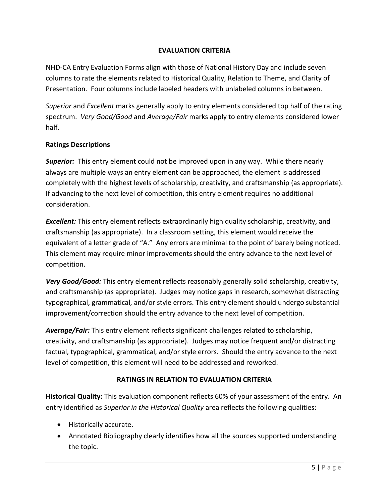## **EVALUATION CRITERIA**

<span id="page-5-0"></span>NHD-CA Entry Evaluation Forms align with those of National History Day and include seven columns to rate the elements related to Historical Quality, Relation to Theme, and Clarity of Presentation. Four columns include labeled headers with unlabeled columns in between.

*Superior* and *Excellent* marks generally apply to entry elements considered top half of the rating spectrum. *Very Good/Good* and *Average/Fair* marks apply to entry elements considered lower half.

## **Ratings Descriptions**

*Superior:* This entry element could not be improved upon in any way. While there nearly always are multiple ways an entry element can be approached, the element is addressed completely with the highest levels of scholarship, creativity, and craftsmanship (as appropriate). If advancing to the next level of competition, this entry element requires no additional consideration.

*Excellent:* This entry element reflects extraordinarily high quality scholarship, creativity, and craftsmanship (as appropriate). In a classroom setting, this element would receive the equivalent of a letter grade of "A." Any errors are minimal to the point of barely being noticed. This element may require minor improvements should the entry advance to the next level of competition.

*Very Good/Good:* This entry element reflects reasonably generally solid scholarship, creativity, and craftsmanship (as appropriate). Judges may notice gaps in research, somewhat distracting typographical, grammatical, and/or style errors. This entry element should undergo substantial improvement/correction should the entry advance to the next level of competition.

*Average/Fair:* This entry element reflects significant challenges related to scholarship, creativity, and craftsmanship (as appropriate). Judges may notice frequent and/or distracting factual, typographical, grammatical, and/or style errors. Should the entry advance to the next level of competition, this element will need to be addressed and reworked.

## **RATINGS IN RELATION TO EVALUATION CRITERIA**

**Historical Quality:** This evaluation component reflects 60% of your assessment of the entry. An entry identified as *Superior in the Historical Quality* area reflects the following qualities:

- Historically accurate.
- Annotated Bibliography clearly identifies how all the sources supported understanding the topic.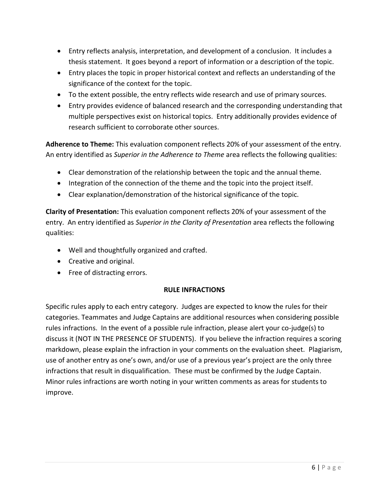- Entry reflects analysis, interpretation, and development of a conclusion. It includes a thesis statement. It goes beyond a report of information or a description of the topic.
- Entry places the topic in proper historical context and reflects an understanding of the significance of the context for the topic.
- To the extent possible, the entry reflects wide research and use of primary sources.
- Entry provides evidence of balanced research and the corresponding understanding that multiple perspectives exist on historical topics. Entry additionally provides evidence of research sufficient to corroborate other sources.

**Adherence to Theme:** This evaluation component reflects 20% of your assessment of the entry. An entry identified as *Superior in the Adherence to Theme* area reflects the following qualities:

- Clear demonstration of the relationship between the topic and the annual theme.
- Integration of the connection of the theme and the topic into the project itself.
- Clear explanation/demonstration of the historical significance of the topic.

**Clarity of Presentation:** This evaluation component reflects 20% of your assessment of the entry. An entry identified as *Superior in the Clarity of Presentation* area reflects the following qualities:

- Well and thoughtfully organized and crafted.
- Creative and original.
- Free of distracting errors.

## **RULE INFRACTIONS**

<span id="page-6-1"></span><span id="page-6-0"></span>Specific rules apply to each entry category. Judges are expected to know the rules for their categories. Teammates and Judge Captains are additional resources when considering possible rules infractions. In the event of a possible rule infraction, please alert your co-judge(s) to discuss it (NOT IN THE PRESENCE OF STUDENTS). If you believe the infraction requires a scoring markdown, please explain the infraction in your comments on the evaluation sheet. Plagiarism, use of another entry as one's own, and/or use of a previous year's project are the only three infractions that result in disqualification. These must be confirmed by the Judge Captain. Minor rules infractions are worth noting in your written comments as areas for students to improve.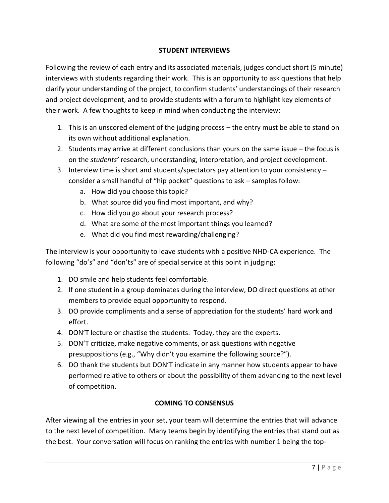## **STUDENT INTERVIEWS**

Following the review of each entry and its associated materials, judges conduct short (5 minute) interviews with students regarding their work. This is an opportunity to ask questions that help clarify your understanding of the project, to confirm students' understandings of their research and project development, and to provide students with a forum to highlight key elements of their work. A few thoughts to keep in mind when conducting the interview:

- 1. This is an unscored element of the judging process the entry must be able to stand on its own without additional explanation.
- 2. Students may arrive at different conclusions than yours on the same issue the focus is on the *students'* research, understanding, interpretation, and project development.
- 3. Interview time is short and students/spectators pay attention to your consistency consider a small handful of "hip pocket" questions to ask – samples follow:
	- a. How did you choose this topic?
	- b. What source did you find most important, and why?
	- c. How did you go about your research process?
	- d. What are some of the most important things you learned?
	- e. What did you find most rewarding/challenging?

The interview is your opportunity to leave students with a positive NHD-CA experience. The following "do's" and "don'ts" are of special service at this point in judging:

- 1. DO smile and help students feel comfortable.
- 2. If one student in a group dominates during the interview, DO direct questions at other members to provide equal opportunity to respond.
- 3. DO provide compliments and a sense of appreciation for the students' hard work and effort.
- 4. DON'T lecture or chastise the students. Today, they are the experts.
- 5. DON'T criticize, make negative comments, or ask questions with negative presuppositions (e.g., "Why didn't you examine the following source?").
- 6. DO thank the students but DON'T indicate in any manner how students appear to have performed relative to others or about the possibility of them advancing to the next level of competition.

## **COMING TO CONSENSUS**

<span id="page-7-0"></span>After viewing all the entries in your set, your team will determine the entries that will advance to the next level of competition. Many teams begin by identifying the entries that stand out as the best. Your conversation will focus on ranking the entries with number 1 being the top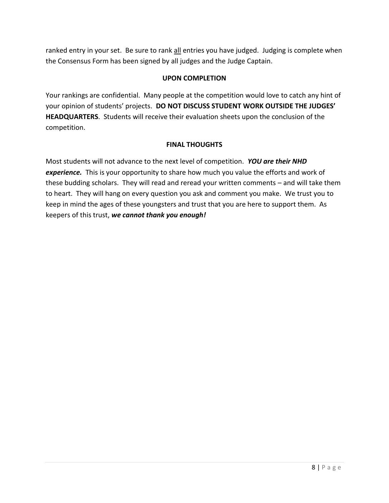ranked entry in your set. Be sure to rank all entries you have judged. Judging is complete when the Consensus Form has been signed by all judges and the Judge Captain.

## **UPON COMPLETION**

<span id="page-8-0"></span>Your rankings are confidential. Many people at the competition would love to catch any hint of your opinion of students' projects. **DO NOT DISCUSS STUDENT WORK OUTSIDE THE JUDGES' HEADQUARTERS**. Students will receive their evaluation sheets upon the conclusion of the competition.

## **FINAL THOUGHTS**

<span id="page-8-1"></span>Most students will not advance to the next level of competition. *YOU are their NHD experience.* This is your opportunity to share how much you value the efforts and work of these budding scholars. They will read and reread your written comments – and will take them to heart. They will hang on every question you ask and comment you make. We trust you to keep in mind the ages of these youngsters and trust that you are here to support them. As keepers of this trust, *we cannot thank you enough!*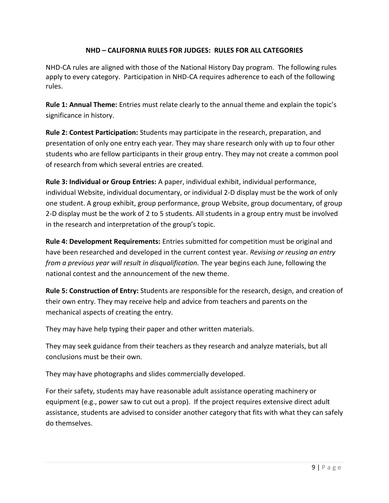## <span id="page-9-1"></span>**NHD – CALIFORNIA RULES FOR JUDGES: RULES FOR ALL CATEGORIES**

<span id="page-9-0"></span>NHD-CA rules are aligned with those of the National History Day program. The following rules apply to every category. Participation in NHD-CA requires adherence to each of the following rules.

**Rule 1: Annual Theme:** Entries must relate clearly to the annual theme and explain the topic's significance in history.

**Rule 2: Contest Participation:** Students may participate in the research, preparation, and presentation of only one entry each year. They may share research only with up to four other students who are fellow participants in their group entry. They may not create a common pool of research from which several entries are created.

**Rule 3: Individual or Group Entries:** A paper, individual exhibit, individual performance, individual Website, individual documentary, or individual 2-D display must be the work of only one student. A group exhibit, group performance, group Website, group documentary, of group 2-D display must be the work of 2 to 5 students. All students in a group entry must be involved in the research and interpretation of the group's topic.

**Rule 4: Development Requirements:** Entries submitted for competition must be original and have been researched and developed in the current contest year. *Revising or reusing an entry from a previous year will result in disqualification.* The year begins each June, following the national contest and the announcement of the new theme.

**Rule 5: Construction of Entry:** Students are responsible for the research, design, and creation of their own entry. They may receive help and advice from teachers and parents on the mechanical aspects of creating the entry.

They may have help typing their paper and other written materials.

They may seek guidance from their teachers as they research and analyze materials, but all conclusions must be their own.

They may have photographs and slides commercially developed.

For their safety, students may have reasonable adult assistance operating machinery or equipment (e.g., power saw to cut out a prop). If the project requires extensive direct adult assistance, students are advised to consider another category that fits with what they can safely do themselves.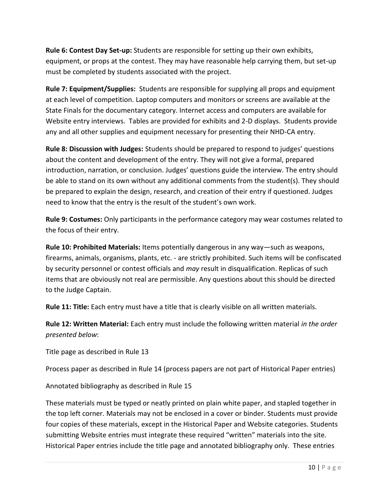**Rule 6: Contest Day Set-up:** Students are responsible for setting up their own exhibits, equipment, or props at the contest. They may have reasonable help carrying them, but set-up must be completed by students associated with the project.

**Rule 7: Equipment/Supplies:** Students are responsible for supplying all props and equipment at each level of competition. Laptop computers and monitors or screens are available at the State Finals for the documentary category. Internet access and computers are available for Website entry interviews. Tables are provided for exhibits and 2-D displays. Students provide any and all other supplies and equipment necessary for presenting their NHD-CA entry.

**Rule 8: Discussion with Judges:** Students should be prepared to respond to judges' questions about the content and development of the entry. They will not give a formal, prepared introduction, narration, or conclusion. Judges' questions guide the interview. The entry should be able to stand on its own without any additional comments from the student(s). They should be prepared to explain the design, research, and creation of their entry if questioned. Judges need to know that the entry is the result of the student's own work.

**Rule 9: Costumes:** Only participants in the performance category may wear costumes related to the focus of their entry.

**Rule 10: Prohibited Materials:** Items potentially dangerous in any way—such as weapons, firearms, animals, organisms, plants, etc. - are strictly prohibited. Such items will be confiscated by security personnel or contest officials and *may* result in disqualification. Replicas of such items that are obviously not real are permissible. Any questions about this should be directed to the Judge Captain.

**Rule 11: Title:** Each entry must have a title that is clearly visible on all written materials.

**Rule 12: Written Material:** Each entry must include the following written material *in the order presented below*:

Title page as described in Rule 13

Process paper as described in Rule 14 (process papers are not part of Historical Paper entries)

Annotated bibliography as described in Rule 15

These materials must be typed or neatly printed on plain white paper, and stapled together in the top left corner. Materials may not be enclosed in a cover or binder. Students must provide four copies of these materials, except in the Historical Paper and Website categories. Students submitting Website entries must integrate these required "written" materials into the site. Historical Paper entries include the title page and annotated bibliography only. These entries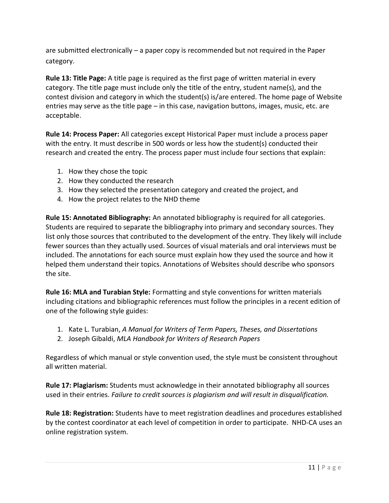are submitted electronically – a paper copy is recommended but not required in the Paper category.

**Rule 13: Title Page:** A title page is required as the first page of written material in every category. The title page must include only the title of the entry, student name(s), and the contest division and category in which the student(s) is/are entered. The home page of Website entries may serve as the title page – in this case, navigation buttons, images, music, etc. are acceptable.

**Rule 14: Process Paper:** All categories except Historical Paper must include a process paper with the entry. It must describe in 500 words or less how the student(s) conducted their research and created the entry. The process paper must include four sections that explain:

- 1. How they chose the topic
- 2. How they conducted the research
- 3. How they selected the presentation category and created the project, and
- 4. How the project relates to the NHD theme

**Rule 15: Annotated Bibliography:** An annotated bibliography is required for all categories. Students are required to separate the bibliography into primary and secondary sources. They list only those sources that contributed to the development of the entry. They likely will include fewer sources than they actually used. Sources of visual materials and oral interviews must be included. The annotations for each source must explain how they used the source and how it helped them understand their topics. Annotations of Websites should describe who sponsors the site.

**Rule 16: MLA and Turabian Style:** Formatting and style conventions for written materials including citations and bibliographic references must follow the principles in a recent edition of one of the following style guides:

- 1. Kate L. Turabian, *A Manual for Writers of Term Papers, Theses, and Dissertations*
- 2. Joseph Gibaldi, *MLA Handbook for Writers of Research Papers*

Regardless of which manual or style convention used, the style must be consistent throughout all written material.

**Rule 17: Plagiarism:** Students must acknowledge in their annotated bibliography all sources used in their entries. *Failure to credit sources is plagiarism and will result in disqualification.*

**Rule 18: Registration:** Students have to meet registration deadlines and procedures established by the contest coordinator at each level of competition in order to participate. NHD-CA uses an online registration system.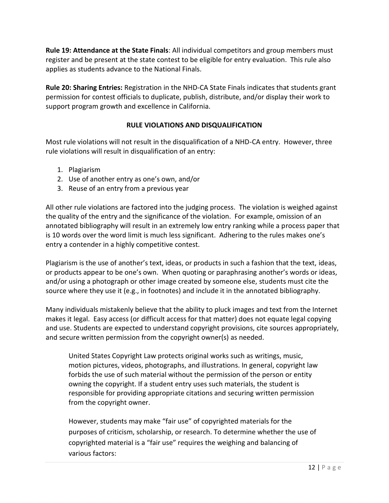**Rule 19: Attendance at the State Finals**: All individual competitors and group members must register and be present at the state contest to be eligible for entry evaluation. This rule also applies as students advance to the National Finals.

**Rule 20: Sharing Entries:** Registration in the NHD-CA State Finals indicates that students grant permission for contest officials to duplicate, publish, distribute, and/or display their work to support program growth and excellence in California.

## **RULE VIOLATIONS AND DISQUALIFICATION**

<span id="page-12-0"></span>Most rule violations will not result in the disqualification of a NHD-CA entry. However, three rule violations will result in disqualification of an entry:

- 1. Plagiarism
- 2. Use of another entry as one's own, and/or
- 3. Reuse of an entry from a previous year

All other rule violations are factored into the judging process. The violation is weighed against the quality of the entry and the significance of the violation. For example, omission of an annotated bibliography will result in an extremely low entry ranking while a process paper that is 10 words over the word limit is much less significant. Adhering to the rules makes one's entry a contender in a highly competitive contest.

Plagiarism is the use of another's text, ideas, or products in such a fashion that the text, ideas, or products appear to be one's own. When quoting or paraphrasing another's words or ideas, and/or using a photograph or other image created by someone else, students must cite the source where they use it (e.g., in footnotes) and include it in the annotated bibliography.

Many individuals mistakenly believe that the ability to pluck images and text from the Internet makes it legal. Easy access (or difficult access for that matter) does not equate legal copying and use. Students are expected to understand copyright provisions, cite sources appropriately, and secure written permission from the copyright owner(s) as needed.

United States Copyright Law protects original works such as writings, music, motion pictures, videos, photographs, and illustrations. In general, copyright law forbids the use of such material without the permission of the person or entity owning the copyright. If a student entry uses such materials, the student is responsible for providing appropriate citations and securing written permission from the copyright owner.

However, students may make "fair use" of copyrighted materials for the purposes of criticism, scholarship, or research. To determine whether the use of copyrighted material is a "fair use" requires the weighing and balancing of various factors: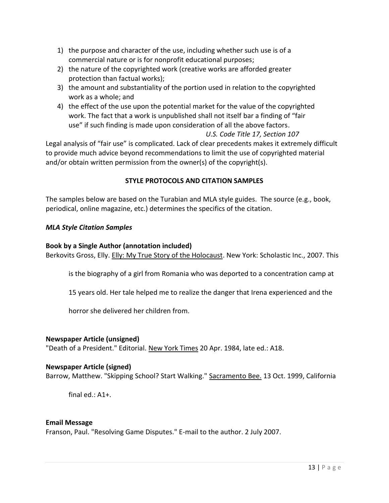- 1) the purpose and character of the use, including whether such use is of a commercial nature or is for nonprofit educational purposes;
- 2) the nature of the copyrighted work (creative works are afforded greater protection than factual works);
- 3) the amount and substantiality of the portion used in relation to the copyrighted work as a whole; and
- 4) the effect of the use upon the potential market for the value of the copyrighted work. The fact that a work is unpublished shall not itself bar a finding of "fair use" if such finding is made upon consideration of all the above factors.

### *U.S. Code Title 17, Section 107*

Legal analysis of "fair use" is complicated. Lack of clear precedents makes it extremely difficult to provide much advice beyond recommendations to limit the use of copyrighted material and/or obtain written permission from the owner(s) of the copyright(s).

### **STYLE PROTOCOLS AND CITATION SAMPLES**

<span id="page-13-0"></span>The samples below are based on the Turabian and MLA style guides. The source (e.g., book, periodical, online magazine, etc.) determines the specifics of the citation.

#### *MLA Style Citation Samples*

#### **Book by a Single Author (annotation included)**

Berkovits Gross, Elly. Elly: My True Story of the Holocaust. New York: Scholastic Inc., 2007. This

is the biography of a girl from Romania who was deported to a concentration camp at

15 years old. Her tale helped me to realize the danger that Irena experienced and the

horror she delivered her children from.

#### **Newspaper Article (unsigned)**

"Death of a President." Editorial. New York Times 20 Apr. 1984, late ed.: A18.

#### **Newspaper Article (signed)**

Barrow, Matthew. "Skipping School? Start Walking." Sacramento Bee. 13 Oct. 1999, California

final  $ed$ :  $A1+$ .

#### **Email Message**

Franson, Paul. "Resolving Game Disputes." E-mail to the author. 2 July 2007.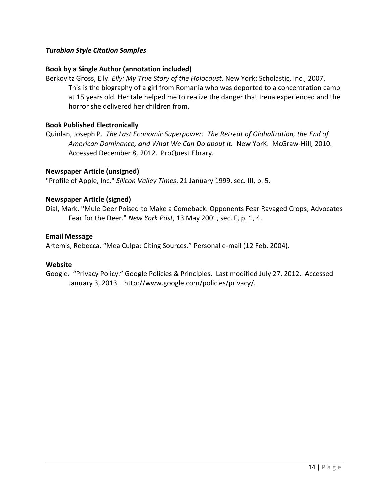#### *Turabian Style Citation Samples*

#### **Book by a Single Author (annotation included)**

Berkovitz Gross, Elly. *Elly: My True Story of the Holocaust*. New York: Scholastic, Inc., 2007. This is the biography of a girl from Romania who was deported to a concentration camp at 15 years old. Her tale helped me to realize the danger that Irena experienced and the horror she delivered her children from.

#### **Book Published Electronically**

Quinlan, Joseph P. *The Last Economic Superpower: The Retreat of Globalization, the End of American Dominance, and What We Can Do about It.* New YorK: McGraw-Hill, 2010. Accessed December 8, 2012. ProQuest Ebrary.

#### **Newspaper Article (unsigned)**

"Profile of Apple, Inc." *Silicon Valley Times*, 21 January 1999, sec. III, p. 5.

#### **Newspaper Article (signed)**

Dial, Mark. "Mule Deer Poised to Make a Comeback: Opponents Fear Ravaged Crops; Advocates Fear for the Deer." *New York Post*, 13 May 2001, sec. F, p. 1, 4.

#### **Email Message**

Artemis, Rebecca. "Mea Culpa: Citing Sources." Personal e-mail (12 Feb. 2004).

#### **Website**

Google. "Privacy Policy." Google Policies & Principles. Last modified July 27, 2012. Accessed January 3, 2013. http://www.google.com/policies/privacy/.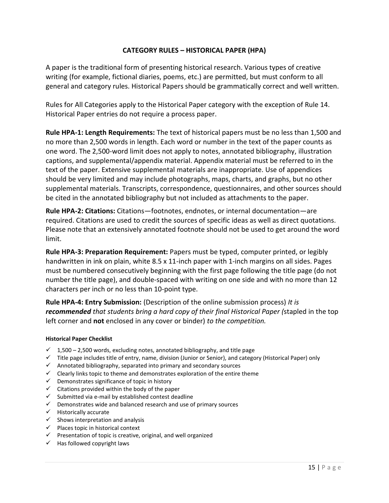## **CATEGORY RULES – HISTORICAL PAPER (HPA)**

<span id="page-15-0"></span>A paper is the traditional form of presenting historical research. Various types of creative writing (for example, fictional diaries, poems, etc.) are permitted, but must conform to all general and category rules. Historical Papers should be grammatically correct and well written.

Rules for All Categories apply to the Historical Paper category with the exception of Rule 14. Historical Paper entries do not require a process paper.

**Rule HPA-1: Length Requirements:** The text of historical papers must be no less than 1,500 and no more than 2,500 words in length. Each word or number in the text of the paper counts as one word. The 2,500-word limit does not apply to notes, annotated bibliography, illustration captions, and supplemental/appendix material. Appendix material must be referred to in the text of the paper. Extensive supplemental materials are inappropriate. Use of appendices should be very limited and may include photographs, maps, charts, and graphs, but no other supplemental materials. Transcripts, correspondence, questionnaires, and other sources should be cited in the annotated bibliography but not included as attachments to the paper.

**Rule HPA-2: Citations:** Citations—footnotes, endnotes, or internal documentation—are required. Citations are used to credit the sources of specific ideas as well as direct quotations. Please note that an extensively annotated footnote should not be used to get around the word limit.

**Rule HPA-3: Preparation Requirement:** Papers must be typed, computer printed, or legibly handwritten in ink on plain, white 8.5 x 11-inch paper with 1-inch margins on all sides. Pages must be numbered consecutively beginning with the first page following the title page (do not number the title page), and double-spaced with writing on one side and with no more than 12 characters per inch or no less than 10-point type.

**Rule HPA-4: Entry Submission:** (Description of the online submission process) *It is recommended that students bring a hard copy of their final Historical Paper (*stapled in the top left corner and **not** enclosed in any cover or binder) *to the competition.*

#### **Historical Paper Checklist**

- $\checkmark$  1,500 2,500 words, excluding notes, annotated bibliography, and title page
- $\checkmark$  Title page includes title of entry, name, division (Junior or Senior), and category (Historical Paper) only
- $\checkmark$  Annotated bibliography, separated into primary and secondary sources
- $\checkmark$  Clearly links topic to theme and demonstrates exploration of the entire theme
- $\checkmark$  Demonstrates significance of topic in history
- $\checkmark$  Citations provided within the body of the paper
- $\checkmark$  Submitted via e-mail by established contest deadline
- $\checkmark$  Demonstrates wide and balanced research and use of primary sources
- $\checkmark$  Historically accurate
- $\checkmark$  Shows interpretation and analysis
- $\checkmark$  Places topic in historical context
- $\checkmark$  Presentation of topic is creative, original, and well organized
- <span id="page-15-1"></span> $\checkmark$  Has followed copyright laws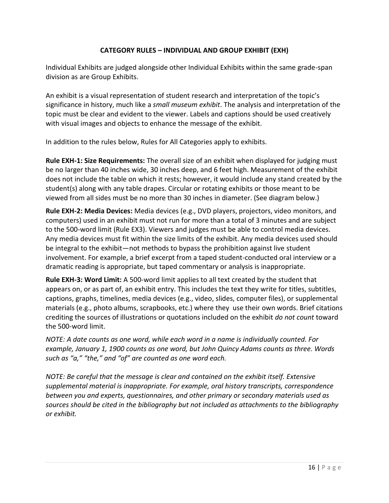## **CATEGORY RULES – INDIVIDUAL AND GROUP EXHIBIT (EXH)**

Individual Exhibits are judged alongside other Individual Exhibits within the same grade-span division as are Group Exhibits.

An exhibit is a visual representation of student research and interpretation of the topic's significance in history, much like a *small museum exhibit*. The analysis and interpretation of the topic must be clear and evident to the viewer. Labels and captions should be used creatively with visual images and objects to enhance the message of the exhibit.

In addition to the rules below, Rules for All Categories apply to exhibits.

**Rule EXH-1: Size Requirements:** The overall size of an exhibit when displayed for judging must be no larger than 40 inches wide, 30 inches deep, and 6 feet high. Measurement of the exhibit does not include the table on which it rests; however, it would include any stand created by the student(s) along with any table drapes. Circular or rotating exhibits or those meant to be viewed from all sides must be no more than 30 inches in diameter. (See diagram below.)

**Rule EXH-2: Media Devices:** Media devices (e.g., DVD players, projectors, video monitors, and computers) used in an exhibit must not run for more than a total of 3 minutes and are subject to the 500-word limit (Rule EX3). Viewers and judges must be able to control media devices. Any media devices must fit within the size limits of the exhibit. Any media devices used should be integral to the exhibit—not methods to bypass the prohibition against live student involvement. For example, a brief excerpt from a taped student-conducted oral interview or a dramatic reading is appropriate, but taped commentary or analysis is inappropriate.

**Rule EXH-3: Word Limit:** A 500-word limit applies to all text created by the student that appears on, or as part of, an exhibit entry. This includes the text they write for titles, subtitles, captions, graphs, timelines, media devices (e.g., video, slides, computer files), or supplemental materials (e.g., photo albums, scrapbooks, etc.) where they use their own words. Brief citations crediting the sources of illustrations or quotations included on the exhibit *do not count* toward the 500-word limit.

*NOTE: A date counts as one word, while each word in a name is individually counted. For example, January 1, 1900 counts as one word, but John Quincy Adams counts as three. Words such as "a," "the," and "of" are counted as one word each.*

*NOTE: Be careful that the message is clear and contained on the exhibit itself. Extensive supplemental material is inappropriate. For example, oral history transcripts, correspondence between you and experts, questionnaires, and other primary or secondary materials used as sources should be cited in the bibliography but not included as attachments to the bibliography or exhibit.*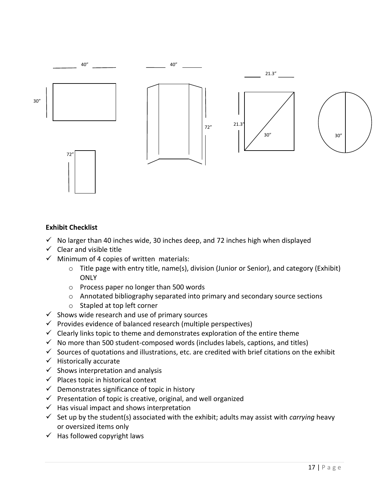

### **Exhibit Checklist**

- $\checkmark$  No larger than 40 inches wide, 30 inches deep, and 72 inches high when displayed
- $\checkmark$  Clear and visible title
- $\checkmark$  Minimum of 4 copies of written materials:
	- o Title page with entry title, name(s), division (Junior or Senior), and category (Exhibit) **ONLY**
	- o Process paper no longer than 500 words
	- o Annotated bibliography separated into primary and secondary source sections
	- o Stapled at top left corner
- $\checkmark$  Shows wide research and use of primary sources
- $\checkmark$  Provides evidence of balanced research (multiple perspectives)
- $\checkmark$  Clearly links topic to theme and demonstrates exploration of the entire theme
- $\checkmark$  No more than 500 student-composed words (includes labels, captions, and titles)
- $\checkmark$  Sources of quotations and illustrations, etc. are credited with brief citations on the exhibit
- $\checkmark$  Historically accurate
- $\checkmark$  Shows interpretation and analysis
- $\checkmark$  Places topic in historical context
- $\checkmark$  Demonstrates significance of topic in history
- $\checkmark$  Presentation of topic is creative, original, and well organized
- $\checkmark$  Has visual impact and shows interpretation
- $\checkmark$  Set up by the student(s) associated with the exhibit; adults may assist with *carrying* heavy or oversized items only
- $\checkmark$  Has followed copyright laws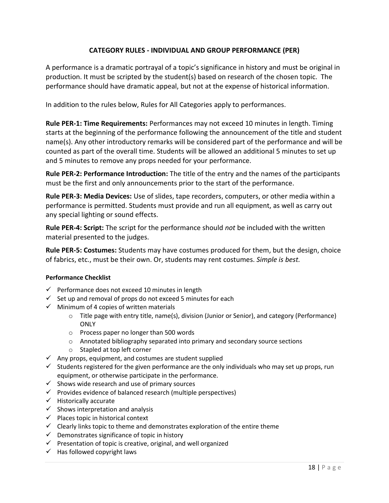## **CATEGORY RULES - INDIVIDUAL AND GROUP PERFORMANCE (PER)**

<span id="page-18-0"></span>A performance is a dramatic portrayal of a topic's significance in history and must be original in production. It must be scripted by the student(s) based on research of the chosen topic. The performance should have dramatic appeal, but not at the expense of historical information.

In addition to the rules below, Rules for All Categories apply to performances.

**Rule PER-1: Time Requirements:** Performances may not exceed 10 minutes in length. Timing starts at the beginning of the performance following the announcement of the title and student name(s). Any other introductory remarks will be considered part of the performance and will be counted as part of the overall time. Students will be allowed an additional 5 minutes to set up and 5 minutes to remove any props needed for your performance.

**Rule PER-2: Performance Introduction:** The title of the entry and the names of the participants must be the first and only announcements prior to the start of the performance.

**Rule PER-3: Media Devices:** Use of slides, tape recorders, computers, or other media within a performance is permitted. Students must provide and run all equipment, as well as carry out any special lighting or sound effects.

**Rule PER-4: Script:** The script for the performance should *not* be included with the written material presented to the judges.

**Rule PER-5: Costumes:** Students may have costumes produced for them, but the design, choice of fabrics, etc., must be their own. Or, students may rent costumes. *Simple is best.*

## **Performance Checklist**

- $\checkmark$  Performance does not exceed 10 minutes in length
- $\checkmark$  Set up and removal of props do not exceed 5 minutes for each
- $\checkmark$  Minimum of 4 copies of written materials
	- o Title page with entry title, name(s), division (Junior or Senior), and category (Performance) ONLY
	- o Process paper no longer than 500 words
	- o Annotated bibliography separated into primary and secondary source sections
	- o Stapled at top left corner
- $\checkmark$  Any props, equipment, and costumes are student supplied
- $\checkmark$  Students registered for the given performance are the only individuals who may set up props, run equipment, or otherwise participate in the performance.
- $\checkmark$  Shows wide research and use of primary sources
- $\checkmark$  Provides evidence of balanced research (multiple perspectives)
- $\checkmark$  Historically accurate
- $\checkmark$  Shows interpretation and analysis
- $\checkmark$  Places topic in historical context
- $\checkmark$  Clearly links topic to theme and demonstrates exploration of the entire theme
- $\checkmark$  Demonstrates significance of topic in history
- $\checkmark$  Presentation of topic is creative, original, and well organized
- $\checkmark$  Has followed copyright laws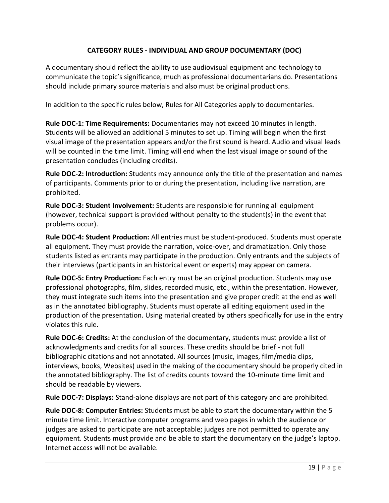## **CATEGORY RULES - INDIVIDUAL AND GROUP DOCUMENTARY (DOC)**

<span id="page-19-0"></span>A documentary should reflect the ability to use audiovisual equipment and technology to communicate the topic's significance, much as professional documentarians do. Presentations should include primary source materials and also must be original productions.

In addition to the specific rules below, Rules for All Categories apply to documentaries.

**Rule DOC-1: Time Requirements:** Documentaries may not exceed 10 minutes in length. Students will be allowed an additional 5 minutes to set up. Timing will begin when the first visual image of the presentation appears and/or the first sound is heard. Audio and visual leads will be counted in the time limit. Timing will end when the last visual image or sound of the presentation concludes (including credits).

**Rule DOC-2: Introduction:** Students may announce only the title of the presentation and names of participants. Comments prior to or during the presentation, including live narration, are prohibited.

**Rule DOC-3: Student Involvement:** Students are responsible for running all equipment (however, technical support is provided without penalty to the student(s) in the event that problems occur).

**Rule DOC-4: Student Production:** All entries must be student-produced. Students must operate all equipment. They must provide the narration, voice-over, and dramatization. Only those students listed as entrants may participate in the production. Only entrants and the subjects of their interviews (participants in an historical event or experts) may appear on camera.

**Rule DOC-5: Entry Production:** Each entry must be an original production. Students may use professional photographs, film, slides, recorded music, etc., within the presentation. However, they must integrate such items into the presentation and give proper credit at the end as well as in the annotated bibliography. Students must operate all editing equipment used in the production of the presentation. Using material created by others specifically for use in the entry violates this rule.

**Rule DOC-6: Credits:** At the conclusion of the documentary, students must provide a list of acknowledgments and credits for all sources. These credits should be brief - not full bibliographic citations and not annotated. All sources (music, images, film/media clips, interviews, books, Websites) used in the making of the documentary should be properly cited in the annotated bibliography. The list of credits counts toward the 10-minute time limit and should be readable by viewers.

**Rule DOC-7: Displays:** Stand-alone displays are not part of this category and are prohibited.

**Rule DOC-8: Computer Entries:** Students must be able to start the documentary within the 5 minute time limit. Interactive computer programs and web pages in which the audience or judges are asked to participate are not acceptable; judges are not permitted to operate any equipment. Students must provide and be able to start the documentary on the judge's laptop. Internet access will not be available.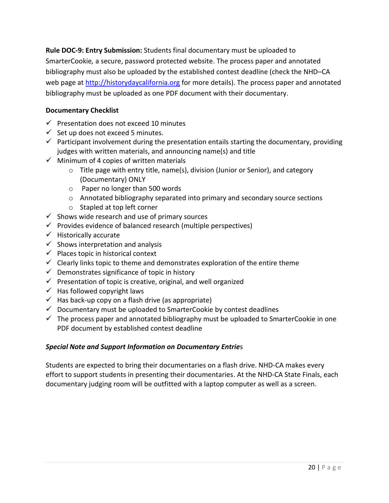**Rule DOC-9: Entry Submission:** Students final documentary must be uploaded to SmarterCookie*,* a secure, password protected website. The process paper and annotated bibliography must also be uploaded by the established contest deadline (check the NHD–CA web page at [http://historydaycalifornia.org](http://historydaycalifornia.org/) for more details). The process paper and annotated bibliography must be uploaded as one PDF document with their documentary.

## **Documentary Checklist**

- $\checkmark$  Presentation does not exceed 10 minutes
- $\checkmark$  Set up does not exceed 5 minutes.
- $\checkmark$  Participant involvement during the presentation entails starting the documentary, providing judges with written materials, and announcing name(s) and title
- $\checkmark$  Minimum of 4 copies of written materials
	- o Title page with entry title, name(s), division (Junior or Senior), and category (Documentary) ONLY
	- o Paper no longer than 500 words
	- o Annotated bibliography separated into primary and secondary source sections
	- o Stapled at top left corner
- $\checkmark$  Shows wide research and use of primary sources
- $\checkmark$  Provides evidence of balanced research (multiple perspectives)
- $\checkmark$  Historically accurate
- $\checkmark$  Shows interpretation and analysis
- $\checkmark$  Places topic in historical context
- $\checkmark$  Clearly links topic to theme and demonstrates exploration of the entire theme
- $\checkmark$  Demonstrates significance of topic in history
- $\checkmark$  Presentation of topic is creative, original, and well organized
- $\checkmark$  Has followed copyright laws
- $\checkmark$  Has back-up copy on a flash drive (as appropriate)
- $\checkmark$  Documentary must be uploaded to SmarterCookie by contest deadlines
- $\checkmark$  The process paper and annotated bibliography must be uploaded to SmarterCookie in one PDF document by established contest deadline

## *Special Note and Support Information on Documentary Entrie*s

Students are expected to bring their documentaries on a flash drive. NHD-CA makes every effort to support students in presenting their documentaries. At the NHD-CA State Finals, each documentary judging room will be outfitted with a laptop computer as well as a screen.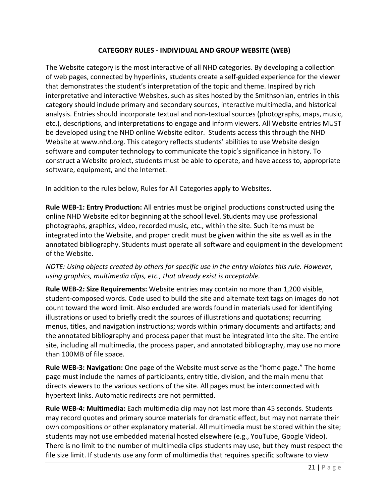## **CATEGORY RULES - INDIVIDUAL AND GROUP WEBSITE (WEB)**

<span id="page-21-0"></span>The Website category is the most interactive of all NHD categories. By developing a collection of web pages, connected by hyperlinks, students create a self-guided experience for the viewer that demonstrates the student's interpretation of the topic and theme. Inspired by rich interpretative and interactive Websites, such as sites hosted by the Smithsonian, entries in this category should include primary and secondary sources, interactive multimedia, and historical analysis. Entries should incorporate textual and non-textual sources (photographs, maps, music, etc.), descriptions, and interpretations to engage and inform viewers. All Website entries MUST be developed using the NHD online Website editor. Students access this through the NHD Website at www.nhd.org. This category reflects students' abilities to use Website design software and computer technology to communicate the topic's significance in history. To construct a Website project, students must be able to operate, and have access to, appropriate software, equipment, and the Internet.

In addition to the rules below, Rules for All Categories apply to Websites.

**Rule WEB-1: Entry Production:** All entries must be original productions constructed using the online NHD Website editor beginning at the school level. Students may use professional photographs, graphics, video, recorded music, etc., within the site. Such items must be integrated into the Website, and proper credit must be given within the site as well as in the annotated bibliography. Students must operate all software and equipment in the development of the Website.

## *NOTE: Using objects created by others for specific use in the entry violates this rule. However, using graphics, multimedia clips, etc., that already exist is acceptable.*

**Rule WEB-2: Size Requirements:** Website entries may contain no more than 1,200 visible, student-composed words. Code used to build the site and alternate text tags on images do not count toward the word limit. Also excluded are words found in materials used for identifying illustrations or used to briefly credit the sources of illustrations and quotations; recurring menus, titles, and navigation instructions; words within primary documents and artifacts; and the annotated bibliography and process paper that must be integrated into the site. The entire site, including all multimedia, the process paper, and annotated bibliography, may use no more than 100MB of file space.

**Rule WEB-3: Navigation:** One page of the Website must serve as the "home page." The home page must include the names of participants, entry title, division, and the main menu that directs viewers to the various sections of the site. All pages must be interconnected with hypertext links. Automatic redirects are not permitted.

**Rule WEB-4: Multimedia:** Each multimedia clip may not last more than 45 seconds. Students may record quotes and primary source materials for dramatic effect, but may not narrate their own compositions or other explanatory material. All multimedia must be stored within the site; students may not use embedded material hosted elsewhere (e.g., YouTube, Google Video). There is no limit to the number of multimedia clips students may use, but they must respect the file size limit. If students use any form of multimedia that requires specific software to view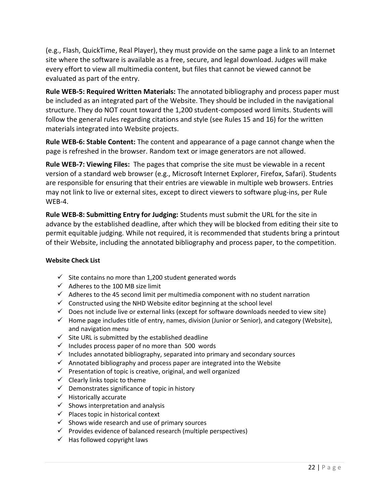(e.g., Flash, QuickTime, Real Player), they must provide on the same page a link to an Internet site where the software is available as a free, secure, and legal download. Judges will make every effort to view all multimedia content, but files that cannot be viewed cannot be evaluated as part of the entry.

**Rule WEB-5: Required Written Materials:** The annotated bibliography and process paper must be included as an integrated part of the Website. They should be included in the navigational structure. They do NOT count toward the 1,200 student-composed word limits. Students will follow the general rules regarding citations and style (see Rules 15 and 16) for the written materials integrated into Website projects.

**Rule WEB-6: Stable Content:** The content and appearance of a page cannot change when the page is refreshed in the browser. Random text or image generators are not allowed.

**Rule WEB-7: Viewing Files:** The pages that comprise the site must be viewable in a recent version of a standard web browser (e.g., Microsoft Internet Explorer, Firefox, Safari). Students are responsible for ensuring that their entries are viewable in multiple web browsers. Entries may not link to live or external sites, except to direct viewers to software plug-ins, per Rule WEB-4.

**Rule WEB-8: Submitting Entry for Judging:** Students must submit the URL for the site in advance by the established deadline, after which they will be blocked from editing their site to permit equitable judging. While not required, it is recommended that students bring a printout of their Website, including the annotated bibliography and process paper, to the competition.

#### **Website Check List**

- $\checkmark$  Site contains no more than 1,200 student generated words
- $\checkmark$  Adheres to the 100 MB size limit
- $\checkmark$  Adheres to the 45 second limit per multimedia component with no student narration
- $\checkmark$  Constructed using the NHD Website editor beginning at the school level
- $\checkmark$  Does not include live or external links (except for software downloads needed to view site)
- $\checkmark$  Home page includes title of entry, names, division (Junior or Senior), and category (Website), and navigation menu
- $\checkmark$  Site URL is submitted by the established deadline
- $\checkmark$  Includes process paper of no more than 500 words
- $\checkmark$  Includes annotated bibliography, separated into primary and secondary sources
- $\checkmark$  Annotated bibliography and process paper are integrated into the Website
- $\checkmark$  Presentation of topic is creative, original, and well organized
- $\checkmark$  Clearly links topic to theme
- $\checkmark$  Demonstrates significance of topic in history
- $\checkmark$  Historically accurate
- $\checkmark$  Shows interpretation and analysis
- $\checkmark$  Places topic in historical context
- $\checkmark$  Shows wide research and use of primary sources
- $\checkmark$  Provides evidence of balanced research (multiple perspectives)
- $\checkmark$  Has followed copyright laws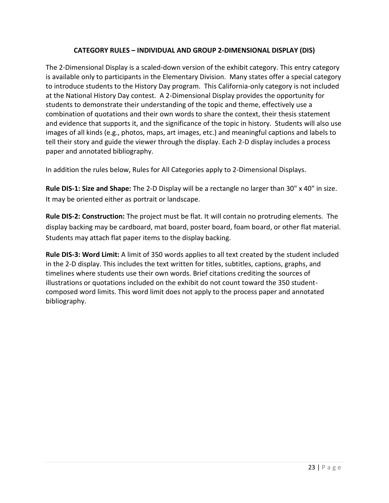## **CATEGORY RULES – INDIVIDUAL AND GROUP 2-DIMENSIONAL DISPLAY (DIS)**

<span id="page-23-0"></span>The 2-Dimensional Display is a scaled-down version of the exhibit category. This entry category is available only to participants in the Elementary Division. Many states offer a special category to introduce students to the History Day program. This California-only category is not included at the National History Day contest. A 2-Dimensional Display provides the opportunity for students to demonstrate their understanding of the topic and theme, effectively use a combination of quotations and their own words to share the context, their thesis statement and evidence that supports it, and the significance of the topic in history. Students will also use images of all kinds (e.g., photos, maps, art images, etc.) and meaningful captions and labels to tell their story and guide the viewer through the display. Each 2-D display includes a process paper and annotated bibliography.

In addition the rules below, Rules for All Categories apply to 2-Dimensional Displays.

**Rule DIS-1: Size and Shape:** The 2-D Display will be a rectangle no larger than 30" x 40" in size. It may be oriented either as portrait or landscape.

**Rule DIS-2: Construction:** The project must be flat. It will contain no protruding elements. The display backing may be cardboard, mat board, poster board, foam board, or other flat material. Students may attach flat paper items to the display backing.

**Rule DIS-3: Word Limit:** A limit of 350 words applies to all text created by the student included in the 2-D display. This includes the text written for titles, subtitles, captions, graphs, and timelines where students use their own words. Brief citations crediting the sources of illustrations or quotations included on the exhibit do not count toward the 350 studentcomposed word limits. This word limit does not apply to the process paper and annotated bibliography.